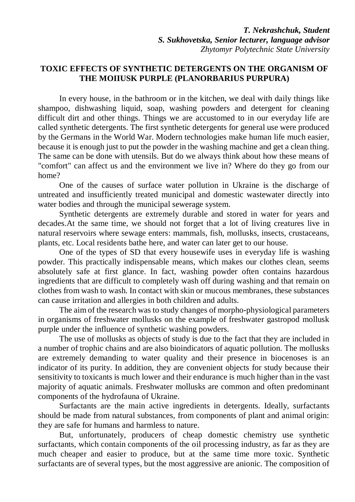## **TOXIC EFFECTS OF SYNTHETIC DETERGENTS ON THE ORGANISM OF THE MOIIUSK PURPLE (PLANORBARIUS PURPURA)**

In every house, in the bathroom or in the kitchen, we deal with daily things like shampoo, dishwashing liquid, soap, washing powders and detergent for cleaning difficult dirt and other things. Things we are accustomed to in our everyday life are called synthetic detergents. The first synthetic detergents for general use were produced by the Germans in the World War. Modern technologies make human life much easier, because it is enough just to put the powder in the washing machine and get a clean thing. The same can be done with utensils. But do we always think about how these means of "comfort" can affect us and the environment we live in? Where do they go from our home?

One of the causes of surface water pollution in Ukraine is the discharge of untreated and insufficiently treated municipal and domestic wastewater directly into water bodies and through the municipal sewerage system.

Synthetic detergents are extremely durable and stored in water for years and decades.At the same time, we should not forget that a lot of living creatures live in natural reservoirs where sewage enters: mammals, fish, mollusks, insects, crustaceans, plants, etc. Local residents bathe here, and water can later get to our house.

One of the types of SD that every housewife uses in everyday life is washing powder. This practically indispensable means, which makes our clothes clean, seems absolutely safe at first glance. In fact, washing powder often contains hazardous ingredients that are difficult to completely wash off during washing and that remain on clothes from wash to wash. In contact with skin or mucous membranes, these substances can cause irritation and allergies in both children and adults.

The aim of the research was to study changes of morpho-physiological parameters in organisms of freshwater mollusks on the example of freshwater gastropod mollusk purple under the influence of synthetic washing powders.

The use of mollusks as objects of study is due to the fact that they are included in a number of trophic chains and are also bioindicators of aquatic pollution. The mollusks are extremely demanding to water quality and their presence in biocenoses is an indicator of its purity. In addition, they are convenient objects for study because their sensitivity to toxicants is much lower and their endurance is much higher than in the vast majority of aquatic animals. Freshwater mollusks are common and often predominant components of the hydrofauna of Ukraine.

Surfactants are the main active ingredients in detergents. Ideally, surfactants should be made from natural substances, from components of plant and animal origin: they are safe for humans and harmless to nature.

But, unfortunately, producers of cheap domestic chemistry use synthetic surfactants, which contain components of the oil processing industry, as far as they are much cheaper and easier to produce, but at the same time more toxic. Synthetic surfactants are of several types, but the most aggressive are anionic. The composition of